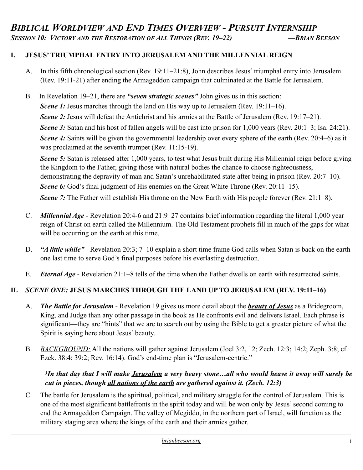### **I. JESUS' TRIUMPHAL ENTRY INTO JERUSALEM AND THE MILLENNIAL REIGN**

A. In this fifth chronological section (Rev. 19:11–21:8), John describes Jesus' triumphal entry into Jerusalem (Rev. 19:11-21) after ending the Armageddon campaign that culminated at the Battle for Jerusalem.

*\_\_\_\_\_\_\_\_\_\_\_\_\_\_\_\_\_\_\_\_\_\_\_\_\_\_\_\_\_\_\_\_\_\_\_\_\_\_\_\_\_\_\_\_\_\_\_\_\_\_\_\_\_\_\_\_\_\_\_\_\_\_\_\_\_\_\_\_\_\_\_\_\_\_\_\_\_\_\_\_\_\_\_\_\_\_\_\_\_\_\_\_\_\_\_\_\_\_\_\_\_\_\_\_\_\_\_\_\_\_\_\_\_\_\_\_\_\_\_\_\_\_\_\_\_\_\_\_\_\_\_\_\_\_\_\_\_\_\_\_\_\_\_\_*

B. In Revelation 19–21, there are *"seven strategic scenes"* John gives us in this section: *Scene 1:* Jesus marches through the land on His way up to Jerusalem (Rev. 19:11–16). *Scene 2:* Jesus will defeat the Antichrist and his armies at the Battle of Jerusalem (Rev. 19:17–21). *Scene 3*: Satan and his host of fallen angels will be cast into prison for 1,000 years (Rev. 20:1–3; Isa. 24:21). *Scene 4*: Saints will be given the governmental leadership over every sphere of the earth (Rev. 20:4–6) as it was proclaimed at the seventh trumpet (Rev. 11:15-19). *Scene 5:* Satan is released after 1,000 years, to test what Jesus built during His Millennial reign before giving the Kingdom to the Father, giving those with natural bodies the chance to choose righteousness, demonstrating the depravity of man and Satan's unrehabilitated state after being in prison (Rev. 20:7–10).

*Scene 6:* God's final judgment of His enemies on the Great White Throne (Rev. 20:11–15).

*Scene 7*: The Father will establish His throne on the New Earth with His people forever (Rev. 21:1–8).

- C. *Millennial Age* Revelation 20:4-6 and 21:9–27 contains brief information regarding the literal 1,000 year reign of Christ on earth called the Millennium. The Old Testament prophets fill in much of the gaps for what will be occurring on the earth at this time.
- D. *"A little while"* Revelation 20:3; 7–10 explain a short time frame God calls when Satan is back on the earth one last time to serve God's final purposes before his everlasting destruction.
- E. *Eternal Age* Revelation 21:1–8 tells of the time when the Father dwells on earth with resurrected saints.

# **II.** *SCENE ONE:* **JESUS MARCHES THROUGH THE LAND UP TO JERUSALEM (REV. 19:11–16)**

- A. *The Battle for Jerusalem* Revelation 19 gives us more detail about the *beauty of Jesus* as a Bridegroom, King, and Judge than any other passage in the book as He confronts evil and delivers Israel. Each phrase is significant—they are "hints" that we are to search out by using the Bible to get a greater picture of what the Spirit is saying here about Jesus' beauty.
- B. *BACKGROUND:* All the nations will gather against Jerusalem (Joel 3:2, 12; Zech. 12:3; 14:2; Zeph. 3:8; cf. Ezek. 38:4; 39:2; Rev. 16:14). God's end-time plan is "Jerusalem-centric."

### *3In that day that I will make Jerusalem a very heavy stone…all who would heave it away will surely be cut in pieces, though all nations of the earth are gathered against it. (Zech. 12:3)*

C. The battle for Jerusalem is the spiritual, political, and military struggle for the control of Jerusalem. This is one of the most significant battlefronts in the spirit today and will be won only by Jesus' second coming to end the Armageddon Campaign. The valley of Megiddo, in the northern part of Israel, will function as the military staging area where the kings of the earth and their armies gather.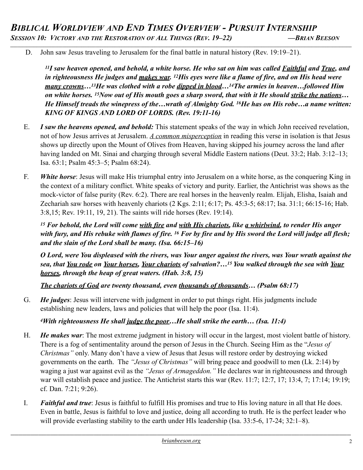D. John saw Jesus traveling to Jerusalem for the final battle in natural history (Rev. 19:19–21).

*11I saw heaven opened, and behold, a white horse. He who sat on him was called Faithful and True, and in righteousness He judges and makes war. 12His eyes were like a flame of fire, and on His head were many crowns…13He was clothed with a robe dipped in blood…14The armies in heaven…followed Him on white horses. 15Now out of His mouth goes a sharp sword, that with it He should strike the nations… He Himself treads the winepress of the…wrath of Almighty God. 16He has on His robe…a name written: KING OF KINGS AND LORD OF LORDS. (Rev. 19:11-16)*

- E. *I saw the heavens opened, and behold:* This statement speaks of the way in which John received revelation, not of how Jesus arrives at Jerusalem. *A common misperception* in reading this verse in isolation is that Jesus shows up directly upon the Mount of Olives from Heaven, having skipped his journey across the land after having landed on Mt. Sinai and charging through several Middle Eastern nations (Deut. 33:2; Hab. 3:12–13; Isa. 63:1; Psalm 45:3–5; Psalm 68:24).
- F. *White horse*: Jesus will make His triumphal entry into Jerusalem on a white horse, as the conquering King in the context of a military conflict. White speaks of victory and purity. Earlier, the Antichrist was shows as the mock-victor of false purity (Rev. 6:2). There are real horses in the heavenly realm. Elijah, Elisha, Isaiah and Zechariah saw horses with heavenly chariots (2 Kgs. 2:11; 6:17; Ps. 45:3-5; 68:17; Isa. 31:1; 66:15-16; Hab. 3:8,15; Rev. 19:11, 19, 21). The saints will ride horses (Rev. 19:14).

*15 For behold, the Lord will come with fire and with His chariots, like a whirlwind, to render His anger with fury, and His rebuke with flames of fire. 16 For by fire and by His sword the Lord will judge all flesh; and the slain of the Lord shall be many. (Isa. 66:15–16)* 

*O Lord, were You displeased with the rivers, was Your anger against the rivers, was Your wrath against the sea, that You rode on Your horses, Your chariots of salvation?…15 You walked through the sea with Your horses, through the heap of great waters. (Hab. 3:8, 15)* 

*The chariots of God are twenty thousand, even thousands of thousands… (Psalm 68:17)*

G. *He judges*: Jesus will intervene with judgment in order to put things right. His judgments include establishing new leaders, laws and policies that will help the poor (Isa. 11:4).

# *4With righteousness He shall judge the poor…He shall strike the earth… (Isa. 11:4)*

- H. *He makes war*: The most extreme judgment in history will occur in the largest, most violent battle of history. There is a fog of sentimentality around the person of Jesus in the Church. Seeing Him as the "*Jesus of Christmas"* only. Many don't have a view of Jesus that Jesus will restore order by destroying wicked governments on the earth. The *"Jesus of Christmas"* will bring peace and goodwill to men (Lk. 2:14) by waging a just war against evil as the *"Jesus of Armageddon."* He declares war in righteousness and through war will establish peace and justice. The Antichrist starts this war (Rev. 11:7; 12:7, 17; 13:4, 7; 17:14; 19:19; cf. Dan. 7:21; 9:26).
- I. *Faithful and true*: Jesus is faithful to fulfill His promises and true to His loving nature in all that He does. Even in battle, Jesus is faithful to love and justice, doing all according to truth. He is the perfect leader who will provide everlasting stability to the earth under HIs leadership (Isa. 33:5-6, 17-24; 32:1–8).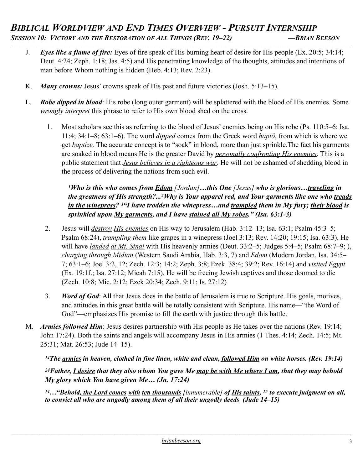- J. *Eyes like a flame of fire:* Eyes of fire speak of His burning heart of desire for His people (Ex. 20:5; 34:14; Deut. 4:24; Zeph. 1:18; Jas. 4:5) and His penetrating knowledge of the thoughts, attitudes and intentions of man before Whom nothing is hidden (Heb. 4:13; Rev. 2:23).
- K. *Many crowns:* Jesus' crowns speak of His past and future victories (Josh. 5:13–15).
- L. *Robe dipped in blood*: His robe (long outer garment) will be splattered with the blood of His enemies. Some *wrongly interpret* this phrase to refer to His own blood shed on the cross.
	- 1. Most scholars see this as referring to the blood of Jesus' enemies being on His robe (Ps. 110:5–6; Isa. 11:4; 34:1–8; 63:1–6). The word *dipped* comes from the Greek word *baptô*, from which is where we get *baptize.* The accurate concept is to "soak" in blood, more than just sprinkle.The fact his garments are soaked in blood means He is the greater David by *personally confronting His enemies*. This is a public statement that *Jesus believes in a righteous war*. He will not be ashamed of shedding blood in the process of delivering the nations from such evil.

### *1Who is this who comes from Edom [Jordan]…this One [Jesus] who is glorious…traveling in the greatness of His strength?...2Why is Your apparel red, and Your garments like one who treads in the winepress? 3"I have trodden the winepress…and trampled them in My fury; their blood is sprinkled upon My garments, and I have stained all My robes." (Isa. 63:1-3)*

- 2. Jesus will *destroy His enemies* on His way to Jerusalem (Hab. 3:12–13; Isa. 63:1; Psalm 45:3–5; Psalm 68:24), *trampling them* like grapes in a winepress (Joel 3:13; Rev. 14:20; 19:15; Isa. 63:3). He will have *landed at Mt. Sinai* with His heavenly armies (Deut. 33:2–5; Judges 5:4–5; Psalm 68:7–9; ), *charging through Midian* (Western Saudi Arabia, Hab. 3:3, 7) and *Edom* (Modern Jordan, Isa. 34:5– 7; 63:1–6; Joel 3:2, 12; Zech. 12:3; 14:2; Zeph. 3:8; Ezek. 38:4; 39:2; Rev. 16:14) and *visited Egypt* (Ex. 19:1f.; Isa. 27:12; Micah 7:15). He will be freeing Jewish captives and those doomed to die (Zech. 10:8; Mic. 2:12; Ezek 20:34; Zech. 9:11; Is. 27:12)
- 3. *Word of God*: All that Jesus does in the battle of Jerusalem is true to Scripture. His goals, motives, and attitudes in this great battle will be totally consistent with Scripture. His name—"the Word of God"—emphasizes His promise to fill the earth with justice through this battle.
- M. *Armies followed Him*: Jesus desires partnership with His people as He takes over the nations (Rev. 19:14; John 17:24). Both the saints and angels will accompany Jesus in His armies (1 Thes. 4:14; Zech. 14:5; Mt. 25:31; Mat. 26:53; Jude 14–15).

*14The armies in heaven, clothed in fine linen, white and clean, followed Him on white horses. (Rev. 19:14)* 

*24Father, I desire that they also whom You gave Me may be with Me where I am, that they may behold My glory which You have given Me… (Jn. 17:24)*

*14…"Behold, the Lord comes with ten thousands [innumerable] of His saints, 15 to execute judgment on all, to convict all who are ungodly among them of all their ungodly deeds (Jude 14–15)*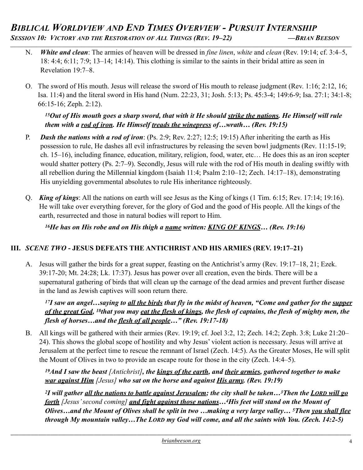- N. *White and clean*: The armies of heaven will be dressed in *fine linen*, *white* and *clean* (Rev. 19:14; cf. 3:4–5, 18: 4:4; 6:11; 7:9; 13–14; 14:14). This clothing is similar to the saints in their bridal attire as seen in Revelation 19:7–8.
- O. The sword of His mouth. Jesus will release the sword of His mouth to release judgment (Rev. 1:16; 2:12, 16; Isa. 11:4) and the literal sword in His hand (Num. 22:23, 31; Josh. 5:13; Ps. 45:3-4; 149:6-9; Isa. 27:1; 34:1-8; 66:15-16; Zeph. 2:12).

*15Out of His mouth goes a sharp sword, that with it He should strike the nations. He Himself will rule them with a rod of iron. He Himself treads the winepress of…wrath… (Rev. 19:15)* 

- P. *Dash the nations with a rod of iron*: (Ps. 2:9; Rev. 2:27; 12:5; 19:15) After inheriting the earth as His possession to rule, He dashes all evil infrastructures by releasing the seven bowl judgments (Rev. 11:15-19; ch. 15–16), including finance, education, military, religion, food, water, etc… He does this as an iron scepter would shatter pottery (Ps. 2:7–9). Secondly, Jesus will rule with the rod of His mouth in dealing swiftly with all rebellion during the Millennial kingdom (Isaiah 11:4; Psalm 2:10–12; Zech. 14:17–18), demonstrating His unyielding governmental absolutes to rule His inheritance righteously.
- Q. *King of kings*: All the nations on earth will see Jesus as the King of kings (1 Tim. 6:15; Rev. 17:14; 19:16). He will take over everything forever, for the glory of God and the good of His people. All the kings of the earth, resurrected and those in natural bodies will report to Him.

*16He has on His robe and on His thigh a name written: KING OF KINGS… (Rev. 19:16)*

# **III.** *SCENE TWO* **- JESUS DEFEATS THE ANTICHRIST AND HIS ARMIES (REV. 19:17–21)**

A. Jesus will gather the birds for a great supper, feasting on the Antichrist's army (Rev. 19:17–18, 21; Ezek. 39:17-20; Mt. 24:28; Lk. 17:37). Jesus has power over all creation, even the birds. There will be a supernatural gathering of birds that will clean up the carnage of the dead armies and prevent further disease in the land as Jewish captives will soon return there.

*17I saw an angel…saying to all the birds that fly in the midst of heaven, "Come and gather for the supper of the great God, 18that you may eat the flesh of kings, the flesh of captains, the flesh of mighty men, the flesh of horses…and the flesh of all people…" (Rev. 19:17-18)* 

B. All kings will be gathered with their armies (Rev. 19:19; cf. Joel 3:2, 12; Zech. 14:2; Zeph. 3:8; Luke 21:20– 24). This shows the global scope of hostility and why Jesus' violent action is necessary. Jesus will arrive at Jerusalem at the perfect time to rescue the remnant of Israel (Zech. 14:5). As the Greater Moses, He will split the Mount of Olives in two to provide an escape route for those in the city (Zech. 14:4–5).

*19And I saw the beast [Antichrist], the kings of the earth, and their armies, gathered together to make war against Him [Jesus] who sat on the horse and against His army. (Rev. 19:19)* 

*2I will gather all the nations to battle against Jerusalem; the city shall be taken…3Then the LORD will go forth [Jesus' second coming] and fight against those nations…4His feet will stand on the Mount of Olives…and the Mount of Olives shall be split in two …making a very large valley… 5Then you shall flee through My mountain valley…The LORD my God will come, and all the saints with You. (Zech. 14:2-5)*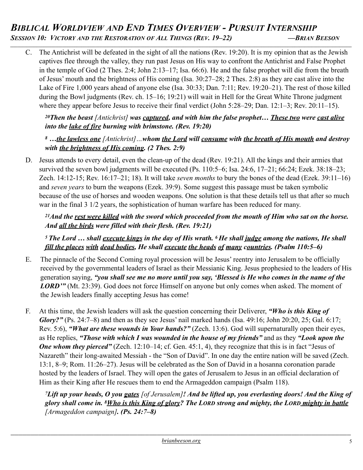# *BIBLICAL WORLDVIEW AND END TIMES OVERVIEW - PURSUIT INTERNSHIP SESSION 10: VICTORY AND THE RESTORATION OF ALL THINGS (REV. 19–22) —BRIAN BEESON \_\_\_\_\_\_\_\_\_\_\_\_\_\_\_\_\_\_\_\_\_\_\_\_\_\_\_\_\_\_\_\_\_\_\_\_\_\_\_\_\_\_\_\_\_\_\_\_\_\_\_\_\_\_\_\_\_\_\_\_\_\_\_\_\_\_\_\_\_\_\_\_\_\_\_\_\_\_\_\_\_\_\_\_\_\_\_\_\_\_\_\_\_\_\_\_\_\_\_\_\_\_\_\_\_\_\_\_\_\_\_\_\_\_\_\_\_\_\_\_\_\_\_\_\_\_\_\_\_\_\_\_\_\_\_\_\_\_\_\_\_\_\_\_*

C. The Antichrist will be defeated in the sight of all the nations (Rev. 19:20). It is my opinion that as the Jewish captives flee through the valley, they run past Jesus on His way to confront the Antichrist and False Prophet in the temple of God (2 Thes. 2:4; John 2:13–17; Isa. 66:6). He and the false prophet will die from the breath of Jesus' mouth and the brightness of His coming (Isa. 30:27–28; 2 Thes. 2:8) as they are cast alive into the Lake of Fire 1,000 years ahead of anyone else (Isa. 30:33; Dan. 7:11; Rev. 19:20–21). The rest of those killed during the Bowl judgments (Rev. ch. 15–16; 19:21) will wait in Hell for the Great White Throne judgment where they appear before Jesus to receive their final verdict (John 5:28–29; Dan. 12:1–3; Rev. 20:11–15).

*20Then the beast [Antichrist] was captured, and with him the false prophet… These two were cast alive into the lake of fire burning with brimstone. (Rev. 19:20)* 

*<sup>8</sup> …the lawless one [Antichrist]…whom the Lord will consume with the breath of His mouth and destroy with the brightness of His coming. (2 Thes. 2:9)*

D. Jesus attends to every detail, even the clean-up of the dead (Rev. 19:21). All the kings and their armies that survived the seven bowl judgments will be executed (Ps. 110:5–6; Isa. 24:6, 17–21; 66:24; Ezek. 38:18–23; Zech. 14:12-15; Rev. 16:17–21; 18). It will take *seven months* to bury the bones of the dead (Ezek. 39:11–16) and *seven years* to burn the weapons (Ezek. 39:9). Some suggest this passage must be taken symbolic because of the use of horses and wooden weapons. One solution is that these details tell us that after so much war in the final 3 1/2 years, the sophistication of human warfare has been reduced for many.

*21And the rest were killed with the sword which proceeded from the mouth of Him who sat on the horse. And all the birds were filled with their flesh. (Rev. 19:21)* 

*5 The Lord … shall execute kings in the day of His wrath. 6 He shall judge among the nations, He shall fill the places with dead bodies, He shall execute the heads of many countries. (Psalm 110:5–6)*

- E. The pinnacle of the Second Coming royal procession will be Jesus' reentry into Jerusalem to be officially received by the governmental leaders of Israel as their Messianic King. Jesus prophesied to the leaders of His generation saying, *"you shall see me no more until you say, 'Blessed is He who comes in the name of the*  **LORD'"** (Mt. 23:39). God does not force Himself on anyone but only comes when asked. The moment of the Jewish leaders finally accepting Jesus has come!
- F. At this time, the Jewish leaders will ask the question concerning their Deliverer, *"Who is this King of Glory?"* (Ps. 24:7–8) and then as they see Jesus' nail marked hands (Isa. 49:16; John 20:20, 25; Gal. 6:17; Rev. 5:6), *"What are these wounds in Your hands?"* (Zech. 13:6). God will supernaturally open their eyes, as He replies, *"Those with which I was wounded in the house of my friends"* and as they *"Look upon the*  **One whom they pierced"** (Zech. 12:10–14; cf. Gen. 45:1, 4), they recognize that this is in fact "Jesus of Nazareth" their long-awaited Messiah - the "Son of David". In one day the entire nation will be saved (Zech. 13:1, 8–9; Rom. 11:26–27). Jesus will be celebrated as the Son of David in a hosanna coronation parade hosted by the leaders of Israel. They will open the gates of Jerusalem to Jesus in an official declaration of Him as their King after He rescues them to end the Armageddon campaign (Psalm 118).

*7Lift up your heads, O you gates [of Jerusalem]! And be lifted up, you everlasting doors! And the King of glory shall come in. 8Who is this King of glory? The LORD strong and mighty, the LORD mighty in battle [Armageddon campaign]. (Ps. 24:7–8)*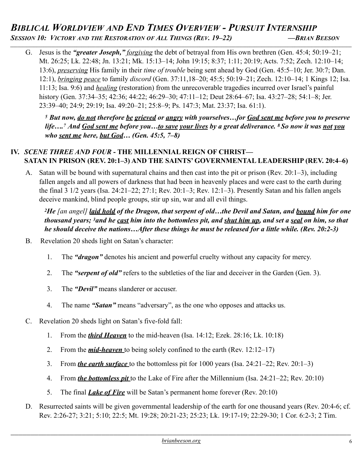# *BIBLICAL WORLDVIEW AND END TIMES OVERVIEW - PURSUIT INTERNSHIP*<br>*Session 10: Victory and the Restoration of All Things (Rev. 19–22)* — *BRIAN BEESON*

*\_\_\_\_\_\_\_\_\_\_\_\_\_\_\_\_\_\_\_\_\_\_\_\_\_\_\_\_\_\_\_\_\_\_\_\_\_\_\_\_\_\_\_\_\_\_\_\_\_\_\_\_\_\_\_\_\_\_\_\_\_\_\_\_\_\_\_\_\_\_\_\_\_\_\_\_\_\_\_\_\_\_\_\_\_\_\_\_\_\_\_\_\_\_\_\_\_\_\_\_\_\_\_\_\_\_\_\_\_\_\_\_\_\_\_\_\_\_\_\_\_\_\_\_\_\_\_\_\_\_\_\_\_\_\_\_\_\_\_\_\_\_\_\_*

G. Jesus is the *"greater Joseph," forgiving* the debt of betrayal from His own brethren (Gen. 45:4; 50:19–21; Mt. 26:25; Lk. 22:48; Jn. 13:21; Mk. 15:13–14; John 19:15; 8:37; 1:11; 20:19; Acts. 7:52; Zech. 12:10–14; 13:6), *preserving* His family in their *time of trouble* being sent ahead by God (Gen. 45:5–10; Jer. 30:7; Dan. 12:1), *bringing peace* to family *discord* (Gen. 37:11,18–20; 45:5; 50:19–21; Zech. 12:10–14; 1 Kings 12; Isa. 11:13; Isa. 9:6) and *healing* (restoration) from the unrecoverable tragedies incurred over Israel's painful history (Gen. 37:34–35; 42:36; 44:22; 46:29–30; 47:11–12; Deut 28:64–67; Isa. 43:27–28; 54:1–8; Jer. 23:39–40; 24:9; 29:19; Isa. 49:20–21; 25:8–9; Ps. 147:3; Mat. 23:37; Isa. 61:1).

*<sup>5</sup> But now, do not therefore be grieved or angry with yourselves…for God sent me before you to preserve life….7 And God sent me before you…to save your lives by a great deliverance. 8 So now it was not you who sent me here, but God… (Gen. 45:5, 7–8)* 

#### **IV.** *SCENE THREE AND FOUR* **- THE MILLENNIAL REIGN OF CHRIST— SATAN IN PRISON (REV. 20:1–3) AND THE SAINTS' GOVERNMENTAL LEADERSHIP (REV. 20:4–6)**

A. Satan will be bound with supernatural chains and then cast into the pit or prison (Rev. 20:1–3), including fallen angels and all powers of darkness that had been in heavenly places and were cast to the earth during the final 3 1/2 years (Isa. 24:21–22; 27:1; Rev. 20:1–3; Rev. 12:1–3). Presently Satan and his fallen angels deceive mankind, blind people groups, stir up sin, war and all evil things.

*2He [an angel] laid hold of the Dragon, that serpent of old…the Devil and Satan, and bound him for one thousand years; 3and he cast him into the bottomless pit, and shut him up, and set a seal on him, so that he should deceive the nations…After these things he must be released for a little while. (Rev. 20:2-3)* 

- B. Revelation 20 sheds light on Satan's character:
	- 1. The *"dragon"* denotes his ancient and powerful cruelty without any capacity for mercy.
	- 2. The *"serpent of old"* refers to the subtleties of the liar and deceiver in the Garden (Gen. 3).
	- 3. The *"Devil"* means slanderer or accuser.
	- 4. The name *"Satan"* means "adversary", as the one who opposes and attacks us.
- C. Revelation 20 sheds light on Satan's five-fold fall:
	- 1. From the *third Heaven* to the mid-heaven (Isa. 14:12; Ezek. 28:16; Lk. 10:18)
	- 2. From the *mid-heaven* to being solely confined to the earth (Rev. 12:12–17)
	- 3. From *the earth surface* to the bottomless pit for 1000 years (Isa. 24:21–22; Rev. 20:1–3)
	- 4. From *the bottomless pit* to the Lake of Fire after the Millennium (Isa. 24:21–22; Rev. 20:10)
	- 5. The final *Lake of Fire* will be Satan's permanent home forever (Rev. 20:10)
- D. Resurrected saints will be given governmental leadership of the earth for one thousand years (Rev. 20:4-6; cf. Rev. 2:26-27; 3:21; 5:10; 22:5; Mt. 19:28; 20:21-23; 25:23; Lk. 19:17-19; 22:29-30; 1 Cor. 6:2-3; 2 Tim.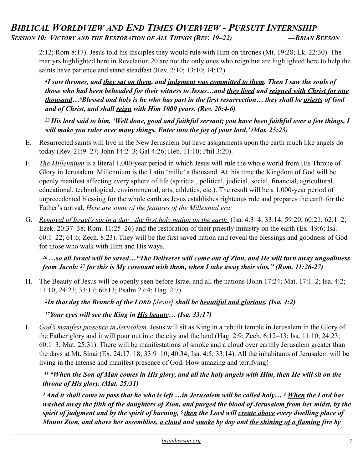*\_\_\_\_\_\_\_\_\_\_\_\_\_\_\_\_\_\_\_\_\_\_\_\_\_\_\_\_\_\_\_\_\_\_\_\_\_\_\_\_\_\_\_\_\_\_\_\_\_\_\_\_\_\_\_\_\_\_\_\_\_\_\_\_\_\_\_\_\_\_\_\_\_\_\_\_\_\_\_\_\_\_\_\_\_\_\_\_\_\_\_\_\_\_\_\_\_\_\_\_\_\_\_\_\_\_\_\_\_\_\_\_\_\_\_\_\_\_\_\_\_\_\_\_\_\_\_\_\_\_\_\_\_\_\_\_\_\_\_\_\_\_\_\_*

2:12; Rom 8:17). Jesus told his disciples they would rule with Him on thrones (Mt. 19:28; Lk. 22:30). The martyrs highlighted here in Revelation 20 are not the only ones who reign but are highlighted here to help the saints have patience and stand steadfast (Rev. 2:10; 13:10; 14:12).

*4I saw thrones, and they sat on them, and judgment was committed to them. Then I saw the souls of those who had been beheaded for their witness to Jesus…and they lived and reigned with Christ for one thousand…6Blessed and holy is he who has part in the first resurrection… they shall be priests of God and of Christ, and shall reign with Him 1000 years. (Rev. 20:4-6)* 

*23 His lord said to him, 'Well done, good and faithful servant; you have been faithful over a few things, I will make you ruler over many things. Enter into the joy of your lord.' (Mat. 25:23)*

- E. Resurrected saints will live in the New Jerusalem but have assignments upon the earth much like angels do today (Rev. 21:9–27; John 14:2–3; Gal 4:26; Heb. 11:10; Phil 3:20).
- F. *The Millennium* is a literal 1,000-year period in which Jesus will rule the whole world from His Throne of Glory in Jerusalem. Millennium is the Latin 'mille' a thousand. At this time the Kingdom of God will be openly manifest affecting every sphere of life (spiritual, political, judicial, social, financial, agricultural, educational, technological, environmental, arts, athletics, etc.). The result will be a 1,000-year period of unprecedented blessing for the whole earth as Jesus establishes righteous rule and prepares the earth for the Father's arrival. *Here are some of the features of the Millennial era:*
- G. *Removal of Israel's sin in a day—the first holy nation on the earth* (Isa. 4:3–4; 33:14; 59:20; 60:21; 62:1–2; Ezek. 20:37–38; Rom. 11:25–26) and the restoration of their priestly ministry on the earth (Ex. 19:6; Isa. 60:1–22; 61:6; Zech. 8:23). They will be the first saved nation and reveal the blessings and goodness of God for those who walk with Him and His ways.

### *26 …so all Israel will be saved…"The Deliverer will come out of Zion, and He will turn away ungodliness from Jacob; 27 for this is My covenant with them, when I take away their sins." (Rom. 11:26-27)*

H. The Beauty of Jesus will be openly seen before Israel and all the nations (John 17:24; Mat. 17:1–2; Isa. 4:2; 11:10; 24:23; 33:17; 60:13; Psalm 27:4; Hag. 2:7).

*2In that day the Branch of the LORD [Jesus] shall be beautiful and glorious. (Isa. 4:2)* 

*17Your eyes will see the King in His beauty… (Isa. 33:17)*

I. *God's manifest presence in Jerusalem*. Jesus will sit as King in a rebuilt temple in Jerusalem in the Glory of the Father glory and it will pour out into the city and the land (Hag. 2:9; Zech. 6:12–13; Isa. 11:10; 24:23; 60:1–3; Mat. 25:31). There will be manifestations of smoke and a cloud over earthly Jerusalem greater than the days at Mt. Sinai (Ex. 24:17–18; 33:9–10; 40:34; Isa. 4:5; 33:14). All the inhabitants of Jerusalem will be living in the intense and manifest presence of God. How amazing and terrifying!

# *31 "When the Son of Man comes in His glory, and all the holy angels with Him, then He will sit on the throne of His glory. (Mat. 25:31)*

*3 And it shall come to pass that he who is left …in Jerusalem will be called holy… 4 When the Lord has washed away the filth of the daughters of Zion, and purged the blood of Jerusalem from her midst, by the spirit of judgment and by the spirit of burning, 5 then the Lord will create above every dwelling place of Mount Zion, and above her assemblies, a cloud and smoke by day and the shining of a flaming fire by*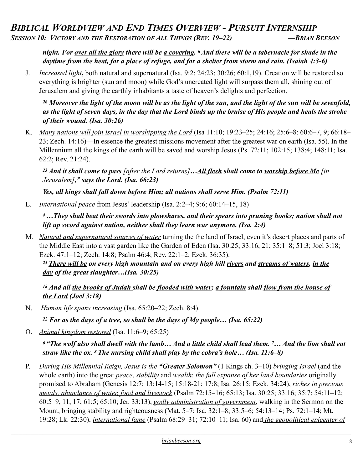*night. For over all the glory there will be a covering. 6 And there will be a tabernacle for shade in the daytime from the heat, for a place of refuge, and for a shelter from storm and rain. (Isaiah 4:3-6)* 

J. *Increased light***,** both natural and supernatural (Isa. 9:2; 24:23; 30:26; 60:1,19). Creation will be restored so everything is brighter (sun and moon) while God's uncreated light will surpass them all, shining out of Jerusalem and giving the earthly inhabitants a taste of heaven's delights and perfection.

*26 Moreover the light of the moon will be as the light of the sun, and the light of the sun will be sevenfold, as the light of seven days, in the day that the Lord binds up the bruise of His people and heals the stroke of their wound. (Isa. 30:26)* 

K. *Many nations will join Israel in worshipping the Lord* (Isa 11:10; 19:23–25; 24:16; 25:6–8; 60:6–7, 9; 66:18– 23; Zech. 14:16)—In essence the greatest missions movement after the greatest war on earth (Isa. 55). In the Millennium all the kings of the earth will be saved and worship Jesus (Ps. 72:11; 102:15; 138:4; 148:11; Isa. 62:2; Rev. 21:24).

*23 And it shall come to pass [after the Lord returns]…All flesh shall come to worship before Me [in Jerusalem]," says the Lord. (Isa. 66:23)* 

*Yes, all kings shall fall down before Him; all nations shall serve Him. (Psalm 72:11)* 

L. *International peace* from Jesus' leadership (Isa. 2:2–4; 9:6; 60:14–15, 18)

*4 …They shall beat their swords into plowshares, and their spears into pruning hooks; nation shall not lift up sword against nation, neither shall they learn war anymore. (Isa. 2:4)* 

M. *Natural and supernatural sources of water* turning the the land of Israel, even it's desert places and parts of the Middle East into a vast garden like the Garden of Eden (Isa. 30:25; 33:16, 21; 35:1–8; 51:3; Joel 3:18; Ezek. 47:1–12; Zech. 14:8; Psalm 46:4; Rev. 22:1–2; Ezek. 36:35).

*25 There will be on every high mountain and on every high hill rivers and streams of waters, in the day of the great slaughter…(Isa. 30:25)* 

```
18 And all the brooks of Judah shall be flooded with water; a fountain shall flow from the house of 
the Lord (Joel 3:18)
```
N. *Human life spans increasing* (Isa. 65:20–22; Zech. 8:4).

*22 For as the days of a tree, so shall be the days of My people… (Isa. 65:22)* 

O. *Animal kingdom restored* (Isa. 11:6–9; 65:25)

*6 "The wolf also shall dwell with the lamb… And a little child shall lead them. 7… And the lion shall eat straw like the ox. 8 The nursing child shall play by the cobra's hole… (Isa. 11:6–8)* 

P. *During His Millennial Reign, Jesus is the "Greater Solomon"* (1 Kings ch. 3–10) *bringing Israel* (and the whole earth) into the great *peace*, *stability* and *wealth*: *the full expanse of her land boundaries* originally promised to Abraham (Genesis 12:7; 13:14-15; 15:18-21; 17:8; Isa. 26:15; Ezek. 34:24), *riches in precious metals, abundance of water, food and livestock* (Psalm 72:15–16; 65:13; Isa. 30:25; 33:16; 35:7; 54:11–12; 60:5–9, 11, 17; 61:5; 65:10; Jer. 33:13), *godly administration of government*, walking in the Sermon on the Mount, bringing stability and righteousness (Mat. 5–7; Isa. 32:1–8; 33:5–6; 54:13–14; Ps. 72:1–14; Mt. 19:28; Lk. 22:30), *international fame* (Psalm 68:29–31; 72:10–11; Isa. 60) and *the geopolitical epicenter of*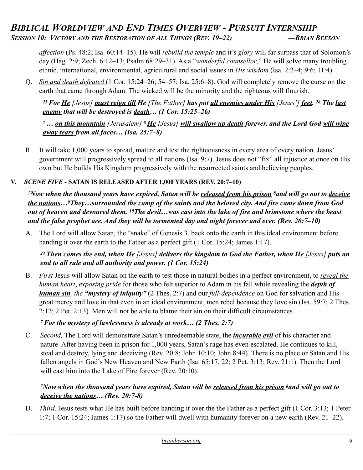# *BIBLICAL WORLDVIEW AND END TIMES OVERVIEW - PURSUIT INTERNSHIP SESSION 10: VICTORY AND THE RESTORATION OF ALL THINGS (REV. 19–22) —BRIAN BEESON \_\_\_\_\_\_\_\_\_\_\_\_\_\_\_\_\_\_\_\_\_\_\_\_\_\_\_\_\_\_\_\_\_\_\_\_\_\_\_\_\_\_\_\_\_\_\_\_\_\_\_\_\_\_\_\_\_\_\_\_\_\_\_\_\_\_\_\_\_\_\_\_\_\_\_\_\_\_\_\_\_\_\_\_\_\_\_\_\_\_\_\_\_\_\_\_\_\_\_\_\_\_\_\_\_\_\_\_\_\_\_\_\_\_\_\_\_\_\_\_\_\_\_\_\_\_\_\_\_\_\_\_\_\_\_\_\_\_\_\_\_\_\_\_*

*affection* (Ps. 48:2; Isa. 60:14–15). He will *rebuild the temple* and it's *glory* will far surpass that of Solomon's day (Hag. 2:9; Zech. 6:12–13; Psalm 68:29–31). As a "*wonderful counsellor*," He will solve many troubling ethnic, international, environmental, agricultural and social issues in *His wisdom* (Isa. 2:2–4; 9:6: 11:4).

Q. *Sin and death defeated* (1 Cor. 15:24–26; 54–57; Isa. 25:6–8). God will completely remove the curse on the earth that came through Adam. The wicked will be the minority and the righteous will flourish.

*25 For He [Jesus] must reign till He [The Father] has put all enemies under His [Jesus'] feet. 26 The last enemy that will be destroyed is death… (1 Cor. 15:25–26)* 

*7 … on this mountain [Jerusalem] 8 He [Jesus] will swallow up death forever, and the Lord God will wipe away tears from all faces… (Isa. 25:7–8)* 

R. It will take 1,000 years to spread, mature and test the righteousness in every area of every nation. Jesus' government will progressively spread to all nations (Isa. 9:7). Jesus does not "fix" all injustice at once on His own but He builds His Kingdom progressively with the resurrected saints and believing peoples.

#### **V.** *SCENE FIVE* **- SATAN IS RELEASED AFTER 1,000 YEARS (REV. 20:7–10)**

*7Now when the thousand years have expired, Satan will be released from his prison 8and will go out to deceive the nations…9They…surrounded the camp of the saints and the beloved city. And fire came down from God out of heaven and devoured them. 10The devil…was cast into the lake of fire and brimstone where the beast and the false prophet are. And they will be tormented day and night forever and ever. (Rev. 20:7–10)*

A. The Lord will allow Satan, the "snake" of Genesis 3, back onto the earth in this ideal environment before handing it over the earth to the Father as a perfect gift (1 Cor. 15:24; James 1:17).

*24 Then comes the end, when He [Jesus] delivers the kingdom to God the Father, when He [Jesus] puts an end to all rule and all authority and power. (1 Cor. 15:24)*

B. *First* Jesus will allow Satan on the earth to test those in natural bodies in a perfect environment, to *reveal the human heart*, *exposing pride* for those who felt superior to Adam in his fall while revealing the *depth of human sin, the "mystery of iniquity"* (2 Thes. 2:7) and our *full-dependence* on God for salvation and His great mercy and love in that even in an ideal environment, men rebel because they love sin (Isa. 59:7; 2 Thes. 2:12; 2 Pet. 2:13). Men will not be able to blame their sin on their difficult circumstances.

# *7 For the mystery of lawlessness is already at work… (2 Thes. 2:7)*

C. *Second,* The Lord will demonstrate Satan's unredeemable state, the *incurable evil* of his character and nature. After having been in prison for 1,000 years, Satan's rage has even escalated. He continues to kill, steal and destroy, lying and deceiving (Rev. 20:8; John 10:10; John 8:44). There is no place or Satan and His fallen angels in God's New Heaven and New Earth (Isa. 65:17, 22; 2 Pet. 3:13; Rev. 21:1). Then the Lord will cast him into the Lake of Fire forever (Rev. 20:10).

# *7Now when the thousand years have expired, Satan will be released from his prison 8and will go out to deceive the nations… (Rev. 20:7-8)*

D. *Third,* Jesus tests what He has built before handing it over the the Father as a perfect gift (1 Cor. 3:13; 1 Peter 1:7; 1 Cor. 15:24; James 1:17) so the Father will dwell with humanity forever on a new earth (Rev. 21–22).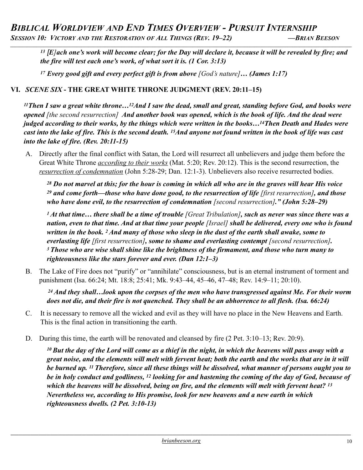# *BIBLICAL WORLDVIEW AND END TIMES OVERVIEW - PURSUIT INTERNSHIP SESSION 10: VICTORY AND THE RESTORATION OF ALL THINGS (REV. 19–22) —BRIAN BEESON*

*\_\_\_\_\_\_\_\_\_\_\_\_\_\_\_\_\_\_\_\_\_\_\_\_\_\_\_\_\_\_\_\_\_\_\_\_\_\_\_\_\_\_\_\_\_\_\_\_\_\_\_\_\_\_\_\_\_\_\_\_\_\_\_\_\_\_\_\_\_\_\_\_\_\_\_\_\_\_\_\_\_\_\_\_\_\_\_\_\_\_\_\_\_\_\_\_\_\_\_\_\_\_\_\_\_\_\_\_\_\_\_\_\_\_\_\_\_\_\_\_\_\_\_\_\_\_\_\_\_\_\_\_\_\_\_\_\_\_\_\_\_\_\_\_*

*<sup>13</sup> [E]ach one's work will become clear; for the Day will declare it, because it will be revealed by fire; and the fire will test each one's work, of what sort it is. (1 Cor. 3:13)* 

*<sup>17</sup> Every good gift and every perfect gift is from above [God's nature]… (James 1:17)*

#### **VI.** *SCENE SIX* **- THE GREAT WHITE THRONE JUDGMENT (REV. 20:11–15)**

*11Then I saw a great white throne…12And I saw the dead, small and great, standing before God, and books were opened [the second resurrection] And another book was opened, which is the book of life. And the dead were judged according to their works, by the things which were written in the books…14Then Death and Hades were cast into the lake of fire. This is the second death. 15And anyone not found written in the book of life was cast into the lake of fire. (Rev. 20:11-15)* 

A. Directly after the final conflict with Satan, the Lord will resurrect all unbelievers and judge them before the Great White Throne *according to their works* (Mat. 5:20; Rev. 20:12). This is the second resurrection, the *resurrection of condemnation* (John 5:28-29; Dan. 12:1-3). Unbelievers also receive resurrected bodies.

*28 Do not marvel at this; for the hour is coming in which all who are in the graves will hear His voice 29 and come forth—those who have done good, to the resurrection of life [first resurrection], and those who have done evil, to the resurrection of condemnation [second resurrection]." (John 5:28–29)* 

*1 At that time… there shall be a time of trouble [Great Tribulation], such as never was since there was a nation, even to that time. And at that time your people [Israel] shall be delivered, every one who is found written in the book. 2 And many of those who sleep in the dust of the earth shall awake, some to everlasting life [first resurrection], some to shame and everlasting contempt [second resurrection]. 3 Those who are wise shall shine like the brightness of the firmament, and those who turn many to righteousness like the stars forever and ever. (Dan 12:1–3)*

B. The Lake of Fire does not "purify" or "annihilate" consciousness, but is an eternal instrument of torment and punishment (Isa. 66:24; Mt. 18:8; 25:41; Mk. 9:43–44, 45–46, 47–48; Rev. 14:9–11; 20:10).

 *24 And they shall…look upon the corpses of the men who have transgressed against Me. For their worm does not die, and their fire is not quenched. They shall be an abhorrence to all flesh. (Isa. 66:24)* 

- C. It is necessary to remove all the wicked and evil as they will have no place in the New Heavens and Earth. This is the final action in transitioning the earth.
- D. During this time, the earth will be renovated and cleansed by fire (2 Pet. 3:10–13; Rev. 20:9).

*10 But the day of the Lord will come as a thief in the night, in which the heavens will pass away with a great noise, and the elements will melt with fervent heat; both the earth and the works that are in it will be burned up. 11 Therefore, since all these things will be dissolved, what manner of persons ought you to be in holy conduct and godliness, 12 looking for and hastening the coming of the day of God, because of which the heavens will be dissolved, being on fire, and the elements will melt with fervent heat? 13 Nevertheless we, according to His promise, look for new heavens and a new earth in which righteousness dwells. (2 Pet. 3:10-13)*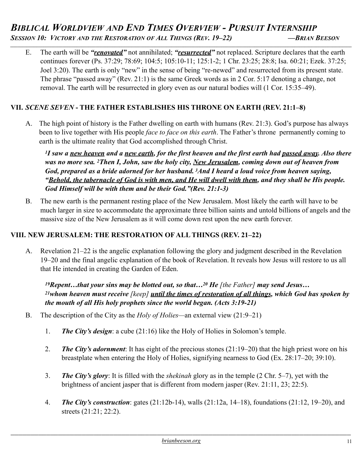E. The earth will be *"renovated"* not annihilated; *"resurrected"* not replaced. Scripture declares that the earth continues forever (Ps. 37:29; 78:69; 104:5; 105:10-11; 125:1-2; 1 Chr. 23:25; 28:8; Isa. 60:21; Ezek. 37:25; Joel 3:20). The earth is only "new" in the sense of being "re-newed" and resurrected from its present state. The phrase "passed away" (Rev. 21:1) is the same Greek words as in 2 Cor. 5:17 denoting a change, not removal. The earth will be resurrected in glory even as our natural bodies will (1 Cor. 15:35–49).

### **VII.** *SCENE SEVEN* **- THE FATHER ESTABLISHES HIS THRONE ON EARTH (REV. 21:1–8)**

A. The high point of history is the Father dwelling on earth with humans (Rev. 21:3). God's purpose has always been to live together with His people *face to face on this earth*. The Father's throne permanently coming to earth is the ultimate reality that God accomplished through Christ.

*1I saw a new heaven and a new earth, for the first heaven and the first earth had passed away. Also there was no more sea. 2Then I, John, saw the holy city, New Jerusalem, coming down out of heaven from God, prepared as a bride adorned for her husband. 3And I heard a loud voice from heaven saying, "Behold, the tabernacle of God is with men, and He will dwell with them, and they shall be His people. God Himself will be with them and be their God."(Rev. 21:1-3)* 

B. The new earth is the permanent resting place of the New Jerusalem. Most likely the earth will have to be much larger in size to accommodate the approximate three billion saints and untold billions of angels and the massive size of the New Jerusalem as it will come down rest upon the new earth forever.

#### **VIII. NEW JERUSALEM: THE RESTORATION OF ALL THINGS (REV. 21–22)**

A. Revelation 21–22 is the angelic explanation following the glory and judgment described in the Revelation 19–20 and the final angelic explanation of the book of Revelation. It reveals how Jesus will restore to us all that He intended in creating the Garden of Eden.

*19Repent…that your sins may be blotted out, so that…20 He [the Father] may send Jesus… 21whom heaven must receive [keep] until the times of restoration of all things, which God has spoken by the mouth of all His holy prophets since the world began. (Acts 3:19-21)* 

- B. The description of the City as the *Holy of Holies—*an external view (21:9–21)
	- 1. *The City's design*: a cube (21:16) like the Holy of Holies in Solomon's temple.
	- 2. *The City's adornment*: It has eight of the precious stones (21:19–20) that the high priest wore on his breastplate when entering the Holy of Holies, signifying nearness to God (Ex. 28:17–20; 39:10).
	- 3. *The City's glory*: It is filled with the *shekinah* glory as in the temple (2 Chr. 5–7), yet with the brightness of ancient jasper that is different from modern jasper (Rev. 21:11, 23; 22:5).
	- 4. *The City's construction*: gates (21:12b-14), walls (21:12a, 14–18), foundations (21:12, 19–20), and streets (21:21; 22:2).